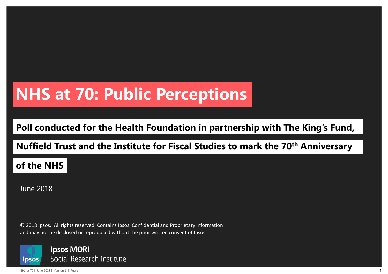## **NHS at 70: Public Perceptions**

#### **Poll conducted for the Health Foundation in partnership with The King's Fund,**

#### **Nuffield Trust and the Institute for Fiscal Studies to mark the 70th Anniversary**

#### **of the NHS**

June 2018

© 2018 Ipsos. All rights reserved. Contains Ipsos' Confidential and Proprietary information and may not be disclosed or reproduced without the prior written consent of Ipsos.

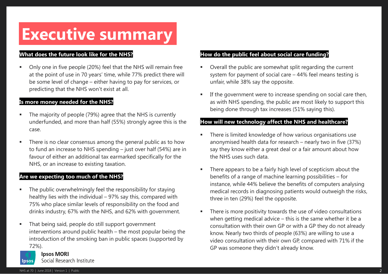## **Executive summary**

#### **What does the future look like for the NHS?**

 Only one in five people (20%) feel that the NHS will remain free at the point of use in 70 years' time, while 77% predict there will be some level of change – either having to pay for services, or predicting that the NHS won't exist at all.

#### **Is more money needed for the NHS?**

- The majority of people (79%) agree that the NHS is currently underfunded, and more than half (55%) strongly agree this is the case.
- There is no clear consensus among the general public as to how to fund an increase to NHS spending – just over half (54%) are in favour of either an additional tax earmarked specifically for the NHS, or an increase to existing taxation.

#### **Are we expecting too much of the NHS?**

- The public overwhelmingly feel the responsibility for staying healthy lies with the individual – 97% say this, compared with 75% who place similar levels of responsibility on the food and drinks industry, 67% with the NHS, and 62% with government.
- That being said, people do still support government interventions around public health – the most popular being the introduction of the smoking ban in public spaces (supported by 72%).

#### **Ipsos MORI**

Social Research Institute Insos

#### **How do the public feel about social care funding?**

- Overall the public are somewhat split regarding the current system for payment of social care – 44% feel means testing is unfair, while 38% say the opposite.
- If the government were to increase spending on social care then, as with NHS spending, the public are most likely to support this being done through tax increases (51% saying this).

#### **How will new technology affect the NHS and healthcare?**

- There is limited knowledge of how various organisations use anonymised health data for research – nearly two in five (37%) say they know either a great deal or a fair amount about how the NHS uses such data.
- There appears to be a fairly high level of scepticism about the benefits of a range of machine learning possibilities – for instance, while 44% believe the benefits of computers analysing medical records in diagnosing patients would outweigh the risks, three in ten (29%) feel the opposite.
- There is more positivity towards the use of video consultations when getting medical advice – this is the same whether it be a consultation with their own GP or with a GP they do not already know. Nearly two thirds of people (63%) are willing to use a video consultation with their own GP, compared with 71% if the GP was someone they didn't already know.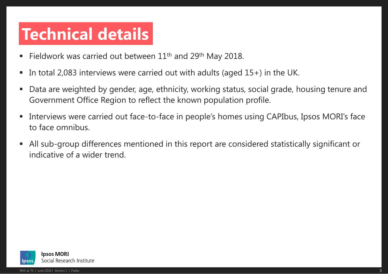## **Technical details**

- Fieldwork was carried out between  $11<sup>th</sup>$  and  $29<sup>th</sup>$  May 2018.
- In total 2,083 interviews were carried out with adults (aged 15+) in the UK.
- Data are weighted by gender, age, ethnicity, working status, social grade, housing tenure and Government Office Region to reflect the known population profile.
- **Interviews were carried out face-to-face in people's homes using CAPIbus, Ipsos MORI's face** to face omnibus.
- All sub-group differences mentioned in this report are considered statistically significant or indicative of a wider trend.

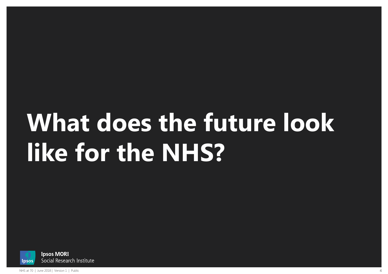# **What does the future look like for the NHS?**

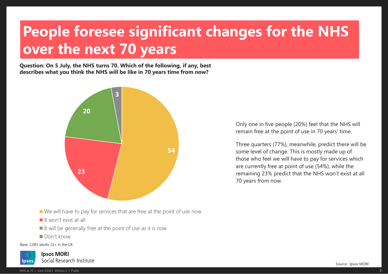## **People foresee significant changes for the NHS over the next 70 years**

**Question: On 5 July, the NHS turns 70. Which of the following, if any, best describes what you think the NHS will be like in 70 years time from now?**



- We will have to pay for services that are free at the point of use now
- $\blacksquare$  It won't exist at all
- $\blacksquare$  It will be generally free at the point of use as it is now
- Don't know

Base: 2,083 adults 15+ in the UK

**Ipsos MORI** Social Research Institute Insos

NHS at 70 | June 2018 | Version 1 | Public 5 | Separate Separate Separate Separate Separate Separate Separate S

Only one in five people (20%) feel that the NHS will remain free at the point of use in 70 years' time.

Three quarters (77%), meanwhile, predict there will be some level of change. This is mostly made up of those who feel we will have to pay for services which are currently free at point of use (54%), while the remaining 23% predict that the NHS won't exist at all 70 years from now.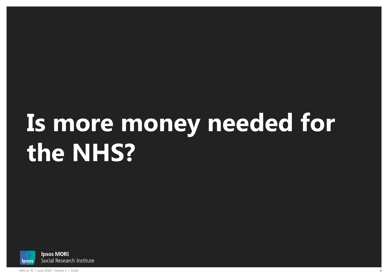# **Is more money needed for the NHS?**

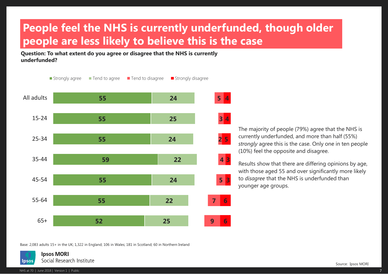## **People feel the NHS is currently underfunded, though older people are less likely to believe this is the case**

**Question: To what extent do you agree or disagree that the NHS is currently underfunded?**



The majority of people (79%) agree that the NHS is currently underfunded, and more than half (55%) *strongly* agree this is the case. Only one in ten people (10%) feel the opposite and disagree.

Results show that there are differing opinions by age, with those aged 55 and over significantly more likely to *disagree* that the NHS is underfunded than younger age groups.

Base: 2,083 adults 15+ in the UK; 1,322 in England; 106 in Wales; 181 in Scotland; 60 in Northern Ireland

**Ipsos MORI** Social Research Institute **lpsos**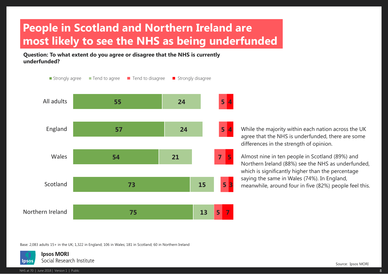## **People in Scotland and Northern Ireland are most likely to see the NHS as being underfunded**

**Question: To what extent do you agree or disagree that the NHS is currently underfunded?**



While the majority within each nation across the UK agree that the NHS is underfunded, there are some differences in the strength of opinion.

Almost nine in ten people in Scotland (89%) and Northern Ireland (88%) see the NHS as underfunded, which is significantly higher than the percentage saying the same in Wales (74%). In England, meanwhile, around four in five (82%) people feel this.

Base: 2,083 adults 15+ in the UK; 1,322 in England; 106 in Wales; 181 in Scotland; 60 in Northern Ireland

**Ipsos MORI** Social Research Institute lpsos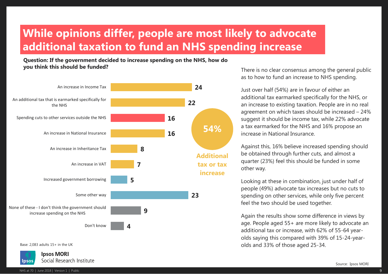## **While opinions differ, people are most likely to advocate additional taxation to fund an NHS spending increase**

**Question: If the government decided to increase spending on the NHS, how do you think this should be funded?**



Base: 2,083 adults 15+ in the UK

**Ipsos MORI** Social Research Institute Ipsos

There is no clear consensus among the general public as to how to fund an increase to NHS spending.

Just over half (54%) are in favour of either an additional tax earmarked specifically for the NHS, or an increase to existing taxation. People are in no real agreement on which taxes should be increased – 24% suggest it should be income tax, while 22% advocate a tax earmarked for the NHS and 16% propose an increase in National Insurance.

Against this, 16% believe increased spending should be obtained through further cuts, and almost a quarter (23%) feel this should be funded in some other way.

Looking at these in combination, just under half of people (49%) advocate tax increases but no cuts to spending on other services, while only five percent feel the two should be used together.

Again the results show some difference in views by age. People aged 55+ are more likely to advocate an additional tax or increase, with 62% of 55-64 yearolds saying this compared with 39% of 15-24-yearolds and 33% of those aged 25-34.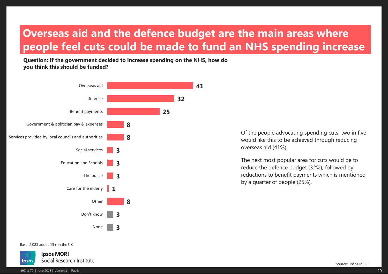#### **Overseas aid and the defence budget are the main areas where people feel cuts could be made to fund an NHS spending increase**

**Question: If the government decided to increase spending on the NHS, how do you think this should be funded?**



Of the people advocating spending cuts, two in five would like this to be achieved through reducing overseas aid (41%).

The next most popular area for cuts would be to reduce the defence budget (32%), followed by reductions to benefit payments which is mentioned by a quarter of people (25%).

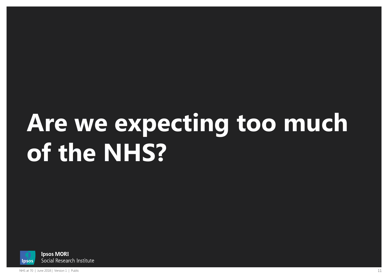# **Are we expecting too much of the NHS?**

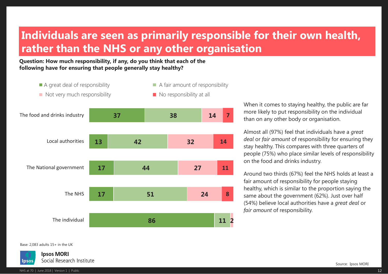### **Individuals are seen as primarily responsible for their own health, rather than the NHS or any other organisation**

**Question: How much responsibility, if any, do you think that each of the following have for ensuring that people generally stay healthy?**

- 
- A great deal of responsibility  $\blacksquare$  A fair amount of responsibility
- Not very much responsibility No responsibility at all
	-



When it comes to staying healthy, the public are far more likely to put responsibility on the individual than on any other body or organisation.

Almost all (97%) feel that individuals have a *great deal* or *fair amount* of responsibility for ensuring they stay healthy. This compares with three quarters of people (75%) who place similar levels of responsibility on the food and drinks industry.

Around two thirds (67%) feel the NHS holds at least a fair amount of responsibility for people staying healthy, which is similar to the proportion saying the same about the government (62%). Just over half (54%) believe local authorities have a *great deal* or *fair amount* of responsibility.

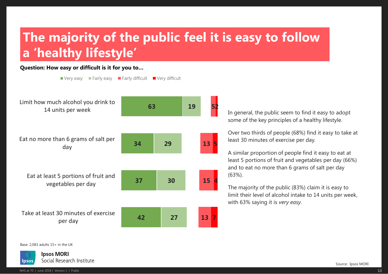## **The majority of the public feel it is easy to follow a 'healthy lifestyle'**

#### **Question: How easy or difficult is it for you to…**



In general, the public seem to find it easy to adopt some of the key principles of a healthy lifestyle.

Over two thirds of people (68%) find it easy to take at least 30 minutes of exercise per day.

A similar proportion of people find it easy to eat at least 5 portions of fruit and vegetables per day (66%) and to eat no more than 6 grams of salt per day (63%).

The majority of the public (83%) claim it is easy to limit their level of alcohol intake to 14 units per week, with 63% saying it is *very easy*.

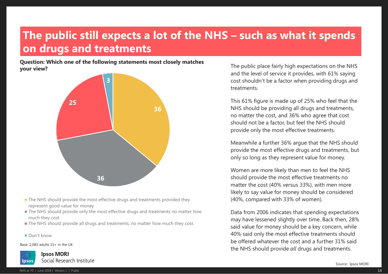#### **The public still expects a lot of the NHS – such as what it spends on drugs and treatments**

**Question: Which one of the following statements most closely matches your view?**



- **The NHS should provide the most effective drugs and treatments provided they** represent good value for money
- The NHS should provide only the most effective drugs and treatments no matter how much they cost
- **The NHS should provide all drugs and treatments, no matter how much they cost.**
- Don't know

Base: 2,083 adults 15+ in the UK

**Ipsos MORI** Social Research Institute Insos

The public place fairly high expectations on the NHS and the level of service it provides, with 61% saying cost shouldn't be a factor when providing drugs and treatments.

This 61% figure is made up of 25% who feel that the NHS should be providing all drugs and treatments, no matter the cost, and 36% who agree that cost should not be a factor, but feel the NHS should provide only the most effective treatments.

Meanwhile a further 36% argue that the NHS should provide the most effective drugs and treatments, but only so long as they represent value for money.

Women are more likely than men to feel the NHS should provide the most effective treatments no matter the cost (40% versus 33%), with men more likely to say value for money should be considered (40%, compared with 33% of women).

Data from 2006 indicates that spending expectations may have lessened slightly over time. Back then, 28% said value for money should be a key concern, while 40% said only the most effective treatments should be offered whatever the cost and a further 31% said the NHS should provide *all* drugs and treatments.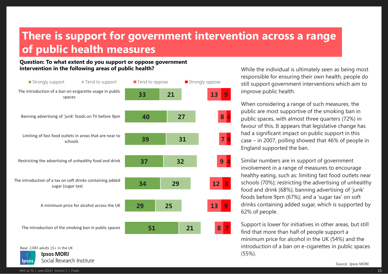#### **There is support for government intervention across a range of public health measures**

#### **Question: To what extent do you support or oppose government intervention in the following areas of public health?**



Base: 2,083 adults 15+ in the UK

**Ipsos MORI** Social Research Institute lpsos

While the individual is ultimately seen as being most responsible for ensuring their own health, people do still support government interventions which aim to improve public health.

When considering a range of such measures, the public are most supportive of the smoking ban in public spaces, with almost three quarters (72%) in favour of this. It appears that legislative change has had a significant impact on public support in this case – in 2007, polling showed that 46% of people in England supported the ban.

Similar numbers are in support of government involvement in a range of measures to encourage healthy eating, such as: limiting fast food outlets near schools (70%); restricting the advertising of unhealthy food and drink (68%); banning advertising of 'junk' foods before 9pm (67%); and a 'sugar tax' on soft drinks containing added sugar, which is supported by 62% of people.

Support is lower for initiatives in other areas, but still find that more than half of people support a minimum price for alcohol in the UK (54%) and the introduction of a ban on e-cigarettes in public spaces (55%).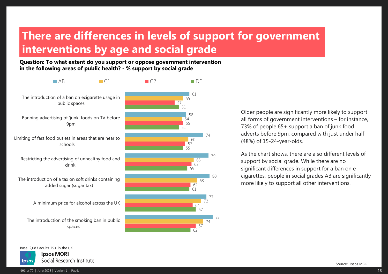## **There are differences in levels of support for government interventions by age and social grade**

**Question: To what extent do you support or oppose government intervention in the following areas of public health? - % support by social grade**



Older people are significantly more likely to support all forms of government interventions – for instance, 73% of people 65+ support a ban of junk food adverts before 9pm, compared with just under half (48%) of 15-24-year-olds.

As the chart shows, there are also different levels of support by social grade. While there are no significant differences in support for a ban on ecigarettes, people in social grades AB are significantly more likely to support all other interventions.

Base: 2,083 adults 15+ in the UK

**Ipsos MORI** Social Research Institute lpsos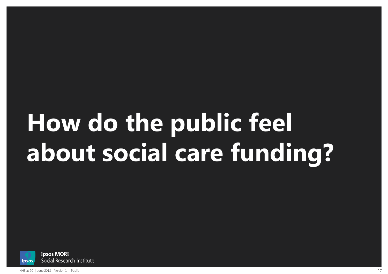# **How do the public feel about social care funding?**

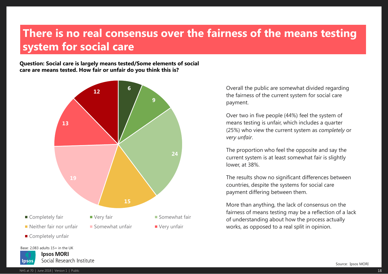#### **There is no real consensus over the fairness of the means testing system for social care**

**Question: Social care is largely means tested/Some elements of social care are means tested. How fair or unfair do you think this is?**



Overall the public are somewhat divided regarding the fairness of the current system for social care payment.

Over two in five people (44%) feel the system of means testing is unfair, which includes a quarter (25%) who view the current system as *completely* or *very unfair*.

The proportion who feel the opposite and say the current system is at least somewhat fair is slightly lower, at 38%.

The results show no significant differences between countries, despite the systems for social care payment differing between them.

More than anything, the lack of consensus on the fairness of means testing may be a reflection of a lack of understanding about how the process actually works, as opposed to a real split in opinion.

Base: 2,083 adults 15+ in the UK

**Ipsos MORI** Social Research Institute lpsos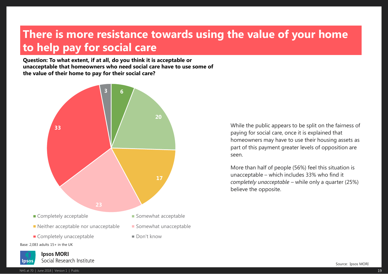### **There is more resistance towards using the value of your home to help pay for social care**

**Question: To what extent, if at all, do you think it is acceptable or unacceptable that homeowners who need social care have to use some of the value of their home to pay for their social care?**



While the public appears to be split on the fairness of paying for social care, once it is explained that homeowners may have to use their housing assets as part of this payment greater levels of opposition are seen.

More than half of people (56%) feel this situation is unacceptable – which includes 33% who find it *completely unacceptable –* while only a quarter (25%) believe the opposite.

Social Research Institute Insos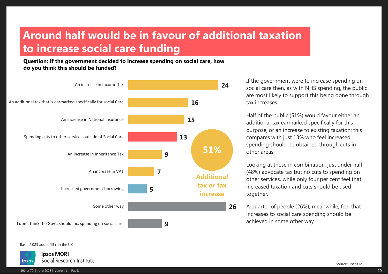## **Around half would be in favour of additional taxation to increase social care funding**

**Question: If the government decided to increase spending on social care, how do you think this should be funded?**



If the government were to increase spending on social care then, as with NHS spending, the public are most likely to support this being done through tax increases.

Half of the public (51%) would favour either an additional tax earmarked specifically for this purpose, or an increase to existing taxation; this compares with just 13% who feel increased spending should be obtained through cuts in other areas.

Looking at these in combination, just under half (48%) advocate tax but no cuts to spending on other services, while only four per cent feel that increased taxation and cuts should be used together.

A quarter of people (26%), meanwhile, feel that increases to social care spending should be achieved in some other way.

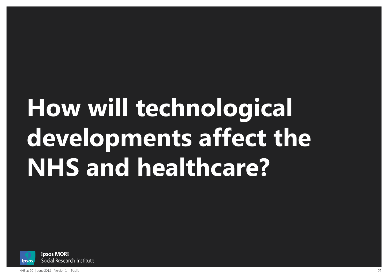# **How will technological developments affect the NHS and healthcare?**

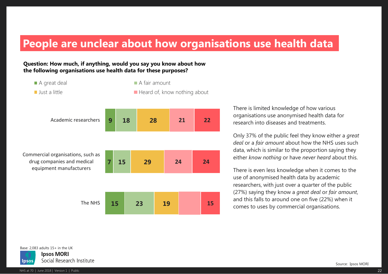#### **People are unclear about how organisations use health data**

#### **Question: How much, if anything, would you say you know about how the following organisations use health data for these purposes?**



A great deal **A fair amount** ■ Just a little **Heard of, know nothing about** 



There is limited knowledge of how various organisations use anonymised health data for research into diseases and treatments.

Only 37% of the public feel they know either a *great deal* or a *fair amount* about how the NHS uses such data, which is similar to the proportion saying they either *know nothing* or have *never heard* about this.

There is even less knowledge when it comes to the use of anonymised health data by academic researchers, with just over a quarter of the public (27%) saying they know a *great deal* or *fair amount*, and this falls to around one on five (22%) when it comes to uses by commercial organisations.

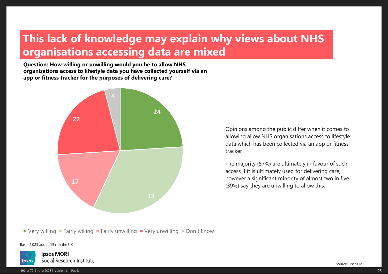### **This lack of knowledge may explain why views about NHS organisations accessing data are mixed**

**Question: How willing or unwilling would you be to allow NHS organisations access to lifestyle data you have collected yourself via an app or fitness tracker for the purposes of delivering care?**



Opinions among the public differ when it comes to allowing allow NHS organisations access to lifestyle data which has been collected via an app or fitness tracker.

The majority (57%) are ultimately in favour of such access if it is ultimately used for delivering care, however a significant minority of almost two in five (39%) say they are unwilling to allow this.

 $\blacksquare$  Very willing  $\blacksquare$  Fairly willing  $\blacksquare$  Fairly unwilling  $\blacksquare$  Very unwilling  $\blacksquare$  Don't know

Base: 2,083 adults 15+ in the UK

**Ipsos MORI** Social Research Institute Insos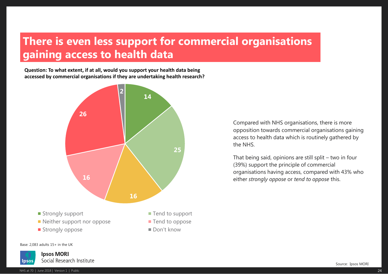## **There is even less support for commercial organisations gaining access to health data**

**Question: To what extent, if at all, would you support your health data being accessed by commercial organisations if they are undertaking health research?**



Compared with NHS organisations, there is more opposition towards commercial organisations gaining access to health data which is routinely gathered by the NHS.

That being said, opinions are still split – two in four (39%) support the principle of commercial organisations having access, compared with 43% who either *strongly oppose* or *tend to oppose* this.

Base: 2,083 adults 15+ in the UK

**Ipsos MORI** Social Research Institute Insos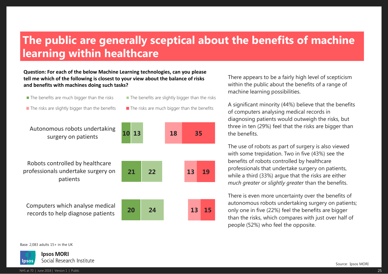### **The public are generally sceptical about the benefits of machine learning within healthcare**

#### **Question: For each of the below Machine Learning technologies, can you please tell me which of the following is closest to your view about the balance of risks and benefits with machines doing such tasks?**

- 
- $\blacksquare$  The benefits are much bigger than the risks  $\blacksquare$  The benefits are slightly bigger than the risks
- $\blacksquare$  The risks are slightly bigger than the benefits  $\blacksquare$  The risks are much bigger than the benefits
	-

Autonomous robots undertaking surgery on patients

Robots controlled by healthcare professionals undertake surgery on patients

Computers which analyse medical records to help diagnose patients

There appears to be a fairly high level of scepticism within the public about the benefits of a range of machine learning possibilities.

A significant minority (44%) believe that the benefits of computers analysing medical records in diagnosing patients would outweigh the risks, but three in ten (29%) feel that the risks are bigger than the benefits.

The use of robots as part of surgery is also viewed with some trepidation. Two in five (43%) see the benefits of robots controlled by healthcare professionals that undertake surgery on patients, while a third (33%) argue that the risks are either *much greater* or *slightly greater* than the benefits.

There is even more uncertainty over the benefits of autonomous robots undertaking surgery on patients; only one in five (22%) feel the benefits are bigger than the risks, which compares with just over half of people (52%) who feel the opposite.

Base: 2,083 adults 15+ in the UK

**Ipsos MORI** Social Research Institute Insos



**20 21 10 24 22 13 13 13 18 15 19 35**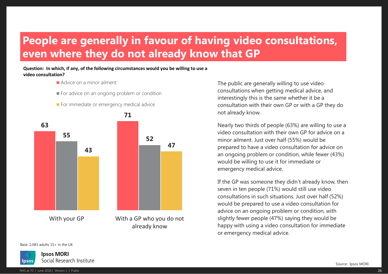## **People are generally in favour of having video consultations, even where they do not already know that GP**

#### **Question: In which, if any, of the following circumstances would you be willing to use a video consultation?**

- Advice on a minor ailment
- For advice on an ongoing problem or condition





The public are generally willing to use video consultations when getting medical advice, and interestingly this is the same whether it be a consultation with their own GP or with a GP they do not already know.

Nearly two thirds of people (63%) are willing to use a video consultation with their own GP for advice on a minor ailment. Just over half (55%) would be prepared to have a video consultation for advice on an ongoing problem or condition, while fewer (43%) would be willing to use it for immediate or emergency medical advice.

If the GP was someone they didn't already know, then seven in ten people (71%) would still use video consultations in such situations. Just over half (52%) would be prepared to use a video consultation for advice on an ongoing problem or condition, with slightly fewer people (47%) saying they would be happy with using a video consultation for immediate or emergency medical advice.

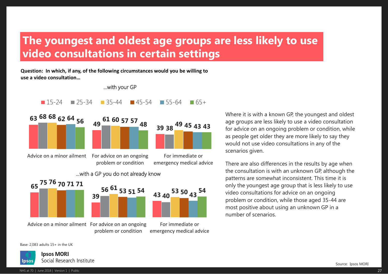## **The youngest and oldest age groups are less likely to use video consultations in certain settings**

**Question: In which, if any, of the following circumstances would you be willing to use a video consultation…**



age groups are less likely to use a video consultation for advice on an ongoing problem or condition, while as people get older they are more likely to say they would not use video consultations in any of the scenarios given.

Where it is with a known GP, the youngest and oldest

There are also differences in the results by age when the consultation is with an unknown GP, although the patterns are somewhat inconsistent. This time it is only the youngest age group that is less likely to use video consultations for advice on an ongoing problem or condition, while those aged 35-44 are most positive about using an unknown GP in a number of scenarios.

Advice on a minor ailment For advice on an ongoing

problem or condition

For immediate or emergency medical advice

Base: 2,083 adults 15+ in the UK

**Ipsos MORI** Social Research Institute Insos